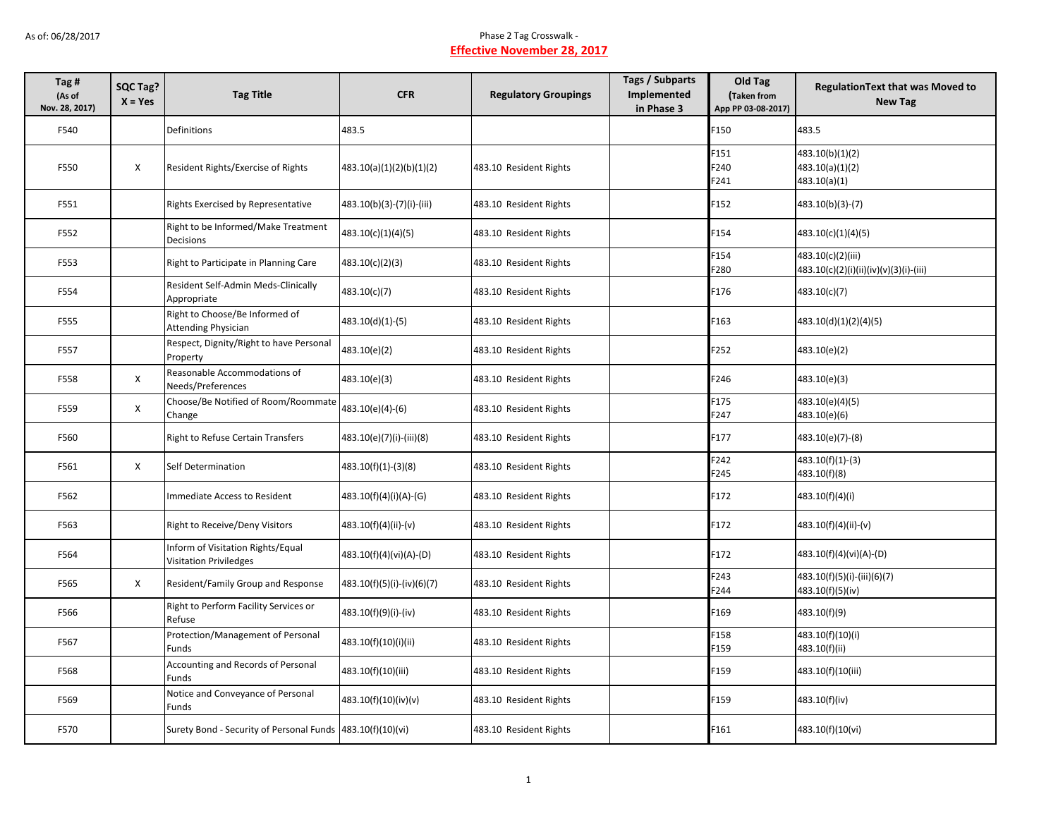| Tag #<br>(As of<br>Nov. 28, 2017) | SQC Tag?<br>$X = Yes$ | <b>Tag Title</b>                                                   | <b>CFR</b>                 | <b>Regulatory Groupings</b> | <b>Tags / Subparts</b><br><b>Implemented</b><br>in Phase 3 | Old Tag<br>Taken from<br>App PP 03-08-2017) | <b>RegulationText that was Moved to</b><br><b>New Tag</b>   |
|-----------------------------------|-----------------------|--------------------------------------------------------------------|----------------------------|-----------------------------|------------------------------------------------------------|---------------------------------------------|-------------------------------------------------------------|
| F540                              |                       | Definitions                                                        | 483.5                      |                             |                                                            | F150                                        | 483.5                                                       |
| F550                              | X                     | Resident Rights/Exercise of Rights                                 | 483.10(a)(1)(2)(b)(1)(2)   | 483.10 Resident Rights      |                                                            | F151<br>F240<br>F241                        | 483.10(b)(1)(2)<br>483.10(a)(1)(2)<br>483.10(a)(1)          |
| F551                              |                       | Rights Exercised by Representative                                 | 483.10(b)(3)-(7)(i)-(iii)  | 483.10 Resident Rights      |                                                            | F152                                        | $483.10(b)(3)-(7)$                                          |
| F552                              |                       | Right to be Informed/Make Treatment<br>Decisions                   | 483.10(c)(1)(4)(5)         | 483.10 Resident Rights      |                                                            | F154                                        | 483.10(c)(1)(4)(5)                                          |
| F553                              |                       | Right to Participate in Planning Care                              | 483.10(c)(2)(3)            | 483.10 Resident Rights      |                                                            | F154<br>F280                                | 483.10(c)(2)(iii)<br>483.10(c)(2)(i)(ii)(iv)(v)(3)(i)-(iii) |
| F554                              |                       | Resident Self-Admin Meds-Clinically<br>Appropriate                 | 483.10(c)(7)               | 483.10 Resident Rights      |                                                            | F176                                        | 483.10(c)(7)                                                |
| F555                              |                       | Right to Choose/Be Informed of<br><b>Attending Physician</b>       | 483.10(d)(1)-(5)           | 483.10 Resident Rights      |                                                            | F163                                        | 483.10(d)(1)(2)(4)(5)                                       |
| F557                              |                       | Respect, Dignity/Right to have Personal<br>Property                | 483.10(e)(2)               | 483.10 Resident Rights      |                                                            | F252                                        | 483.10(e)(2)                                                |
| F558                              | X                     | Reasonable Accommodations of<br>Needs/Preferences                  | 483.10(e)(3)               | 483.10 Resident Rights      |                                                            | F246                                        | 483.10(e)(3)                                                |
| F559                              | X                     | Choose/Be Notified of Room/Roommate<br>Change                      | 483.10(e)(4)-(6)           | 483.10 Resident Rights      |                                                            | F175<br>F247                                | 483.10(e)(4)(5)<br>483.10(e)(6)                             |
| F560                              |                       | Right to Refuse Certain Transfers                                  | 483.10(e)(7)(i)-(iii)(8)   | 483.10 Resident Rights      |                                                            | F177                                        | 483.10(e)(7)-(8)                                            |
| F561                              | X                     | Self Determination                                                 | 483.10(f)(1)-(3)(8)        | 483.10 Resident Rights      |                                                            | F242<br>F245                                | $483.10(f)(1)-(3)$<br>483.10(f)(8)                          |
| F562                              |                       | Immediate Access to Resident                                       | 483.10(f)(4)(i)(A)-(G)     | 483.10 Resident Rights      |                                                            | F172                                        | 483.10(f)(4)(i)                                             |
| F563                              |                       | Right to Receive/Deny Visitors                                     | 483.10(f)(4)(ii)-(v)       | 483.10 Resident Rights      |                                                            | F172                                        | 483.10(f)(4)(ii)-(v)                                        |
| F564                              |                       | Inform of Visitation Rights/Equal<br><b>Visitation Priviledges</b> | 483.10(f)(4)(vi)(A)-(D)    | 483.10 Resident Rights      |                                                            | F172                                        | 483.10(f)(4)(vi)(A)-(D)                                     |
| F565                              | $\mathsf{X}$          | Resident/Family Group and Response                                 | 483.10(f)(5)(i)-(iv)(6)(7) | 483.10 Resident Rights      |                                                            | F243<br>F244                                | 483.10(f)(5)(i)-(iii)(6)(7)<br>483.10(f)(5)(iv)             |
| F566                              |                       | Right to Perform Facility Services or<br>Refuse                    | 483.10(f)(9)(i)-(iv)       | 483.10 Resident Rights      |                                                            | F169                                        | 483.10(f)(9)                                                |
| F567                              |                       | Protection/Management of Personal<br>Funds                         | 483.10(f)(10)(i)(ii)       | 483.10 Resident Rights      |                                                            | F158<br>F159                                | 483.10(f)(10)(i)<br>483.10(f)(ii)                           |
| F568                              |                       | Accounting and Records of Personal<br>Funds                        | 483.10(f)(10)(iii)         | 483.10 Resident Rights      |                                                            | F159                                        | 483.10(f)(10(iii)                                           |
| F569                              |                       | Notice and Conveyance of Personal<br>Funds                         | 483.10(f)(10)(iv)(v)       | 483.10 Resident Rights      |                                                            | F159                                        | 483.10(f)(iv)                                               |
| F570                              |                       | Surety Bond - Security of Personal Funds 483.10(f)(10)(vi)         |                            | 483.10 Resident Rights      |                                                            | F161                                        | 483.10(f)(10(vi)                                            |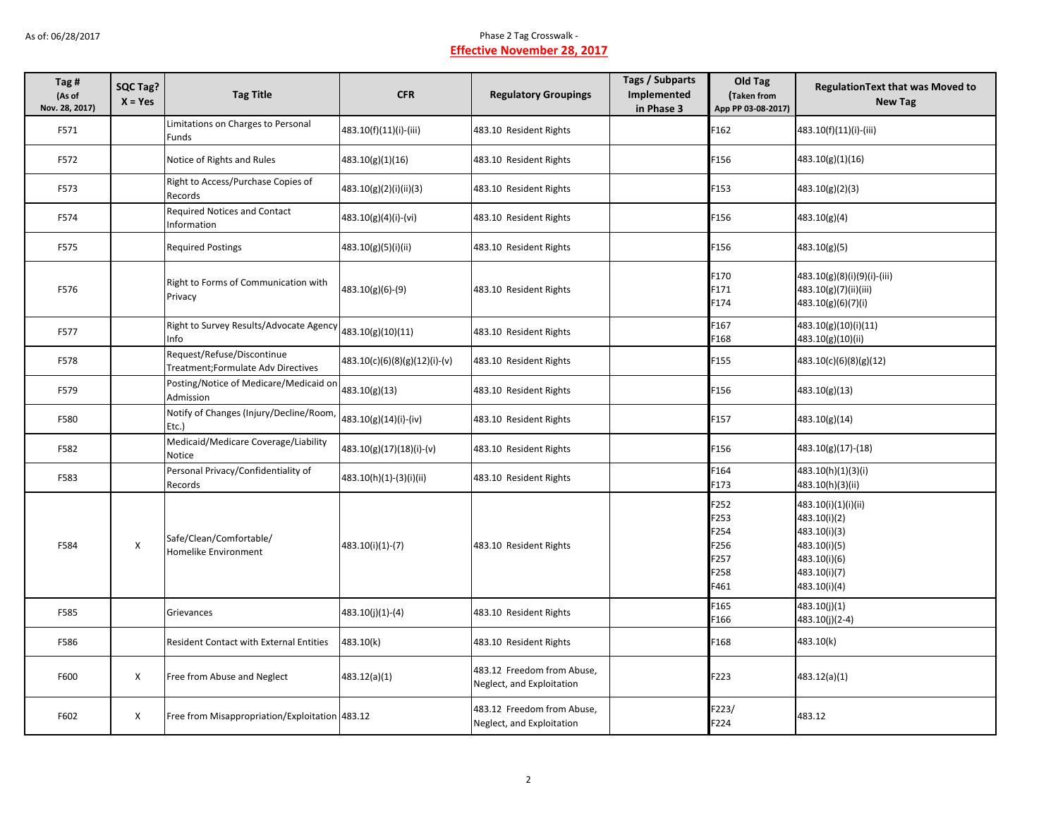| Tag #<br>(As of<br>Nov. 28, 2017) | SQC Tag?<br>$X = Yes$ | <b>Tag Title</b>                                                 | <b>CFR</b>                    | <b>Regulatory Groupings</b>                             | Tags / Subparts<br>Implemented<br>in Phase 3 | Old Tag<br>Taken from<br>App PP 03-08-2017)          | <b>RegulationText that was Moved to</b><br><b>New Tag</b>                                                           |
|-----------------------------------|-----------------------|------------------------------------------------------------------|-------------------------------|---------------------------------------------------------|----------------------------------------------|------------------------------------------------------|---------------------------------------------------------------------------------------------------------------------|
| F571                              |                       | Limitations on Charges to Personal<br>Funds                      | 483.10(f)(11)(i)-(iii)        | 483.10 Resident Rights                                  |                                              | F162                                                 | 483.10(f)(11)(i)-(iii)                                                                                              |
| F572                              |                       | Notice of Rights and Rules                                       | 483.10(g)(1)(16)              | 483.10 Resident Rights                                  |                                              | F156                                                 | 483.10(g)(1)(16)                                                                                                    |
| F573                              |                       | Right to Access/Purchase Copies of<br>Records                    | 483.10(g)(2)(i)(ii)(3)        | 483.10 Resident Rights                                  |                                              | F153                                                 | 483.10(g)(2)(3)                                                                                                     |
| F574                              |                       | Required Notices and Contact<br><b>Information</b>               | 483.10(g)(4)(i)-(vi)          | 483.10 Resident Rights                                  |                                              | F156                                                 | 483.10(g)(4)                                                                                                        |
| F575                              |                       | <b>Required Postings</b>                                         | 483.10(g)(5)(i)(ii)           | 483.10 Resident Rights                                  |                                              | F156                                                 | 483.10(g)(5)                                                                                                        |
| F576                              |                       | Right to Forms of Communication with<br>Privacy                  | 483.10(g)(6)-(9)              | 483.10 Resident Rights                                  |                                              | F170<br>F171<br>F174                                 | 483.10(g)(8)(i)(9)(i)-(iii)<br>483.10(g)(7)(ii)(iii)<br>483.10(g)(6)(7)(i)                                          |
| F577                              |                       | Right to Survey Results/Advocate Agency<br>Info                  | 483.10(g)(10)(11)             | 483.10 Resident Rights                                  |                                              | F167<br>F168                                         | 483.10(g)(10)(i)(11)<br>483.10(g)(10)(ii)                                                                           |
| F578                              |                       | Request/Refuse/Discontinue<br>Treatment;Formulate Adv Directives | 483.10(c)(6)(8)(g)(12)(i)-(v) | 483.10 Resident Rights                                  |                                              | F155                                                 | 483.10(c)(6)(8)(g)(12)                                                                                              |
| F579                              |                       | Posting/Notice of Medicare/Medicaid on<br>Admission              | 483.10(g)(13)                 | 483.10 Resident Rights                                  |                                              | F156                                                 | 483.10(g)(13)                                                                                                       |
| F580                              |                       | Notify of Changes (Injury/Decline/Room,<br>Etc.)                 | 483.10(g)(14)(i)-(iv)         | 483.10 Resident Rights                                  |                                              | F157                                                 | 483.10(g)(14)                                                                                                       |
| F582                              |                       | Medicaid/Medicare Coverage/Liability<br>Notice                   | 483.10(g)(17)(18)(i)-(v)      | 483.10 Resident Rights                                  |                                              | F156                                                 | 483.10(g)(17)-(18)                                                                                                  |
| F583                              |                       | Personal Privacy/Confidentiality of<br>Records                   | 483.10(h)(1)-(3)(i)(ii)       | 483.10 Resident Rights                                  |                                              | F <sub>164</sub><br>F173                             | 483.10(h)(1)(3)(i)<br>483.10(h)(3)(ii)                                                                              |
| F584                              | X                     | Safe/Clean/Comfortable/<br>Homelike Environment                  | 483.10(i)(1)-(7)              | 483.10 Resident Rights                                  |                                              | F252<br>F253<br>F254<br>F256<br>F257<br>F258<br>F461 | 483.10(i)(1)(i)(ii)<br>483.10(i)(2)<br>483.10(i)(3)<br>483.10(i)(5)<br>483.10(i)(6)<br>483.10(i)(7)<br>483.10(i)(4) |
| F585                              |                       | Grievances                                                       | 483.10(j)(1)-(4)              | 483.10 Resident Rights                                  |                                              | F165<br>F166                                         | 483.10(j)(1)<br>483.10(j)(2-4)                                                                                      |
| F586                              |                       | <b>Resident Contact with External Entities</b>                   | 483.10(k)                     | 483.10 Resident Rights                                  |                                              | F168                                                 | 483.10(k)                                                                                                           |
| F600                              | X                     | Free from Abuse and Neglect                                      | 483.12(a)(1)                  | 483.12 Freedom from Abuse,<br>Neglect, and Exploitation |                                              | F223                                                 | 483.12(a)(1)                                                                                                        |
| F602                              | X                     | Free from Misappropriation/Exploitation 483.12                   |                               | 483.12 Freedom from Abuse,<br>Neglect, and Exploitation |                                              | F223/<br>F224                                        | 483.12                                                                                                              |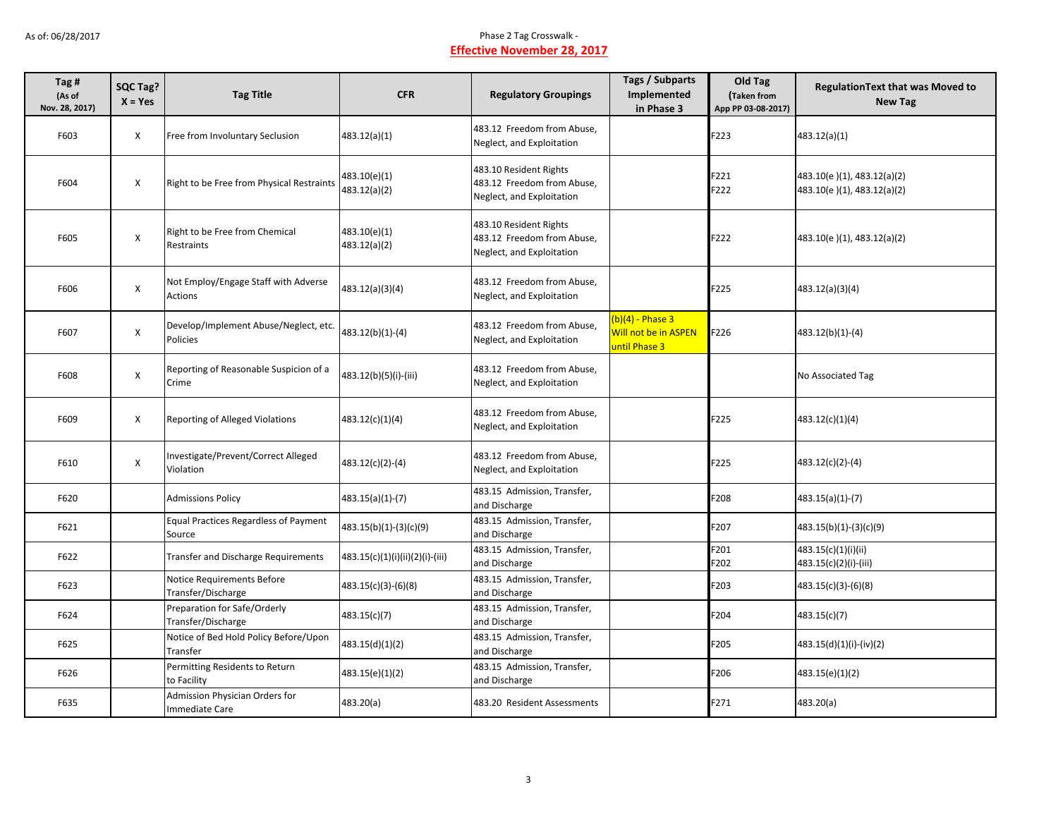| Tag #<br>(As of<br>Nov. 28, 2017) | SQC Tag?<br>$X = Yes$ | <b>Tag Title</b>                                       | <b>CFR</b>                      | <b>Regulatory Groupings</b>                                                       | Tags / Subparts<br>Implemented<br>in Phase 3                | Old Tag<br>Taken from<br>App PP 03-08-2017) | <b>Regulation Text that was Moved to</b><br><b>New Tag</b> |
|-----------------------------------|-----------------------|--------------------------------------------------------|---------------------------------|-----------------------------------------------------------------------------------|-------------------------------------------------------------|---------------------------------------------|------------------------------------------------------------|
| F603                              | X                     | Free from Involuntary Seclusion                        | 483.12(a)(1)                    | 483.12 Freedom from Abuse,<br>Neglect, and Exploitation                           |                                                             | F223                                        | 483.12(a)(1)                                               |
| F604                              | X                     | Right to be Free from Physical Restraints              | 483.10(e)(1)<br>483.12(a)(2)    | 483.10 Resident Rights<br>483.12 Freedom from Abuse,<br>Neglect, and Exploitation |                                                             | F221<br>F222                                | 483.10(e)(1), 483.12(a)(2)<br>483.10(e)(1), 483.12(a)(2)   |
| F605                              | $\pmb{\mathsf{X}}$    | Right to be Free from Chemical<br>Restraints           | 483.10(e)(1)<br>483.12(a)(2)    | 483.10 Resident Rights<br>483.12 Freedom from Abuse,<br>Neglect, and Exploitation |                                                             | F222                                        | 483.10(e)(1), 483.12(a)(2)                                 |
| F606                              | X                     | Not Employ/Engage Staff with Adverse<br>Actions        | 483.12(a)(3)(4)                 | 483.12 Freedom from Abuse.<br>Neglect, and Exploitation                           |                                                             | F225                                        | 483.12(a)(3)(4)                                            |
| F607                              | X                     | Develop/Implement Abuse/Neglect, etc.<br>Policies      | 483.12(b)(1)-(4)                | 483.12 Freedom from Abuse,<br>Neglect, and Exploitation                           | $(b)(4)$ - Phase 3<br>Will not be in ASPEN<br>until Phase 3 | F226                                        | $483.12(b)(1)-(4)$                                         |
| F608                              | $\pmb{\mathsf{X}}$    | Reporting of Reasonable Suspicion of a<br>Crime        | 483.12(b)(5)(i)-(iii)           | 483.12 Freedom from Abuse,<br>Neglect, and Exploitation                           |                                                             |                                             | No Associated Tag                                          |
| F609                              | X                     | Reporting of Alleged Violations                        | 483.12(c)(1)(4)                 | 483.12 Freedom from Abuse,<br>Neglect, and Exploitation                           |                                                             | F225                                        | 483.12(c)(1)(4)                                            |
| F610                              | X                     | Investigate/Prevent/Correct Alleged<br>Violation       | 483.12(c)(2)-(4)                | 483.12 Freedom from Abuse,<br>Neglect, and Exploitation                           |                                                             | F225                                        | 483.12(c)(2)-(4)                                           |
| F620                              |                       | <b>Admissions Policy</b>                               | 483.15(a)(1)-(7)                | 483.15 Admission, Transfer,<br>and Discharge                                      |                                                             | F208                                        | $483.15(a)(1)-(7)$                                         |
| F621                              |                       | <b>Equal Practices Regardless of Payment</b><br>Source | 483.15(b)(1)-(3)(c)(9)          | 483.15 Admission, Transfer,<br>and Discharge                                      |                                                             | F207                                        | $483.15(b)(1)-(3)(c)(9)$                                   |
| F622                              |                       | <b>Transfer and Discharge Requirements</b>             | 483.15(c)(1)(i)(ii)(2)(i)-(iii) | 483.15 Admission, Transfer,<br>and Discharge                                      |                                                             | F201<br>F202                                | 483.15(c)(1)(i)(ii)<br>483.15(c)(2)(i)-(iii)               |
| F623                              |                       | Notice Requirements Before<br>Transfer/Discharge       | 483.15(c)(3)-(6)(8)             | 483.15 Admission, Transfer,<br>and Discharge                                      |                                                             | F203                                        | 483.15(c)(3)-(6)(8)                                        |
| F624                              |                       | Preparation for Safe/Orderly<br>Transfer/Discharge     | 483.15(c)(7)                    | 483.15 Admission, Transfer,<br>and Discharge                                      |                                                             | F204                                        | 483.15(c)(7)                                               |
| F625                              |                       | Notice of Bed Hold Policy Before/Upon<br>Transfer      | 483.15(d)(1)(2)                 | 483.15 Admission, Transfer,<br>and Discharge                                      |                                                             | F205                                        | 483.15(d)(1)(i)-(iv)(2)                                    |
| F626                              |                       | Permitting Residents to Return<br>to Facility          | 483.15(e)(1)(2)                 | 483.15 Admission, Transfer,<br>and Discharge                                      |                                                             | F206                                        | 483.15(e)(1)(2)                                            |
| F635                              |                       | Admission Physician Orders for<br>Immediate Care       | 483.20(a)                       | 483.20 Resident Assessments                                                       |                                                             | F271                                        | 483.20(a)                                                  |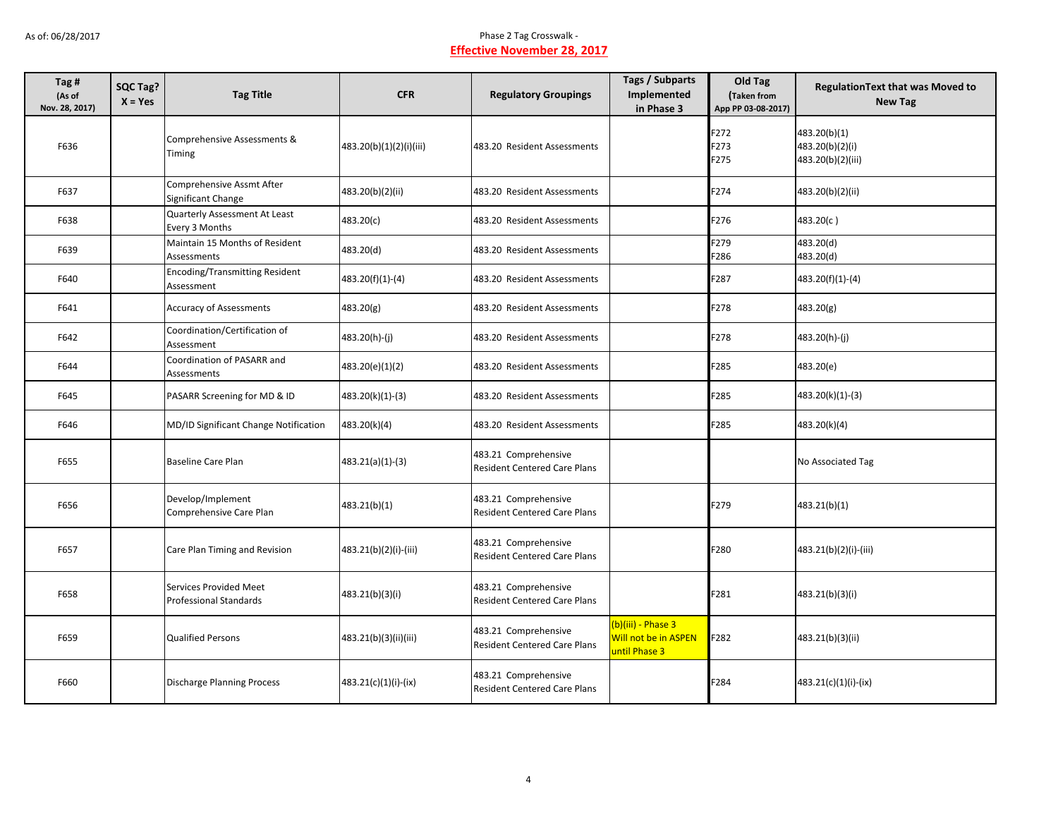| Tag #<br>(As of<br>Nov. 28, 2017) | <b>SQC Tag?</b><br>$X = Yes$ | <b>Tag Title</b>                                        | <b>CFR</b>              | <b>Regulatory Groupings</b>                                 | Tags / Subparts<br>Implemented<br>in Phase 3                | Old Tag<br>Taken from<br>App PP 03-08-2017) | <b>RegulationText that was Moved to</b><br><b>New Tag</b> |
|-----------------------------------|------------------------------|---------------------------------------------------------|-------------------------|-------------------------------------------------------------|-------------------------------------------------------------|---------------------------------------------|-----------------------------------------------------------|
| F636                              |                              | Comprehensive Assessments &<br>Timing                   | 483.20(b)(1)(2)(i)(iii) | 483.20 Resident Assessments                                 |                                                             | F272<br>F273<br>F275                        | 483.20(b)(1)<br>483.20(b)(2)(i)<br>483.20(b)(2)(iii)      |
| F637                              |                              | Comprehensive Assmt After<br>Significant Change         | 483.20(b)(2)(ii)        | 483.20 Resident Assessments                                 |                                                             | F274                                        | 483.20(b)(2)(ii)                                          |
| F638                              |                              | Quarterly Assessment At Least<br>Every 3 Months         | 483.20(c)               | 483.20 Resident Assessments                                 |                                                             | F276                                        | 483.20(c)                                                 |
| F639                              |                              | Maintain 15 Months of Resident<br>Assessments           | 483.20(d)               | 483.20 Resident Assessments                                 |                                                             | F279<br>F286                                | 483.20(d)<br>483.20(d)                                    |
| F640                              |                              | <b>Encoding/Transmitting Resident</b><br>Assessment     | 483.20(f)(1)-(4)        | 483.20 Resident Assessments                                 |                                                             | F287                                        | 483.20(f)(1)-(4)                                          |
| F641                              |                              | <b>Accuracy of Assessments</b>                          | 483.20(g)               | 483.20 Resident Assessments                                 |                                                             | F278                                        | 483.20(g)                                                 |
| F642                              |                              | Coordination/Certification of<br>Assessment             | 483.20(h)-(j)           | 483.20 Resident Assessments                                 |                                                             | F278                                        | 483.20(h)-(j)                                             |
| F644                              |                              | Coordination of PASARR and<br>Assessments               | 483.20(e)(1)(2)         | 483.20 Resident Assessments                                 |                                                             | F285                                        | 483.20(e)                                                 |
| F645                              |                              | PASARR Screening for MD & ID                            | 483.20(k)(1)-(3)        | 483.20 Resident Assessments                                 |                                                             | F285                                        | 483.20(k)(1)-(3)                                          |
| F646                              |                              | MD/ID Significant Change Notification                   | 483.20(k)(4)            | 483.20 Resident Assessments                                 |                                                             | F285                                        | 483.20(k)(4)                                              |
| F655                              |                              | <b>Baseline Care Plan</b>                               | 483.21(a)(1)-(3)        | 483.21 Comprehensive<br><b>Resident Centered Care Plans</b> |                                                             |                                             | No Associated Tag                                         |
| F656                              |                              | Develop/Implement<br>Comprehensive Care Plan            | 483.21(b)(1)            | 483.21 Comprehensive<br><b>Resident Centered Care Plans</b> |                                                             | F279                                        | 483.21(b)(1)                                              |
| F657                              |                              | Care Plan Timing and Revision                           | 483.21(b)(2)(i)-(iii)   | 483.21 Comprehensive<br><b>Resident Centered Care Plans</b> |                                                             | F280                                        | 483.21(b)(2)(i)-(iii)                                     |
| F658                              |                              | <b>Services Provided Meet</b><br>Professional Standards | 483.21(b)(3)(i)         | 483.21 Comprehensive<br>Resident Centered Care Plans        |                                                             | F281                                        | 483.21(b)(3)(i)                                           |
| F659                              |                              | <b>Qualified Persons</b>                                | 483.21(b)(3)(ii)(iii)   | 483.21 Comprehensive<br><b>Resident Centered Care Plans</b> | (b)(iii) - Phase 3<br>Will not be in ASPEN<br>until Phase 3 | F282                                        | 483.21(b)(3)(ii)                                          |
| F660                              |                              | <b>Discharge Planning Process</b>                       | 483.21(c)(1)(i)-(ix)    | 483.21 Comprehensive<br><b>Resident Centered Care Plans</b> |                                                             | F284                                        | 483.21(c)(1)(i)-(ix)                                      |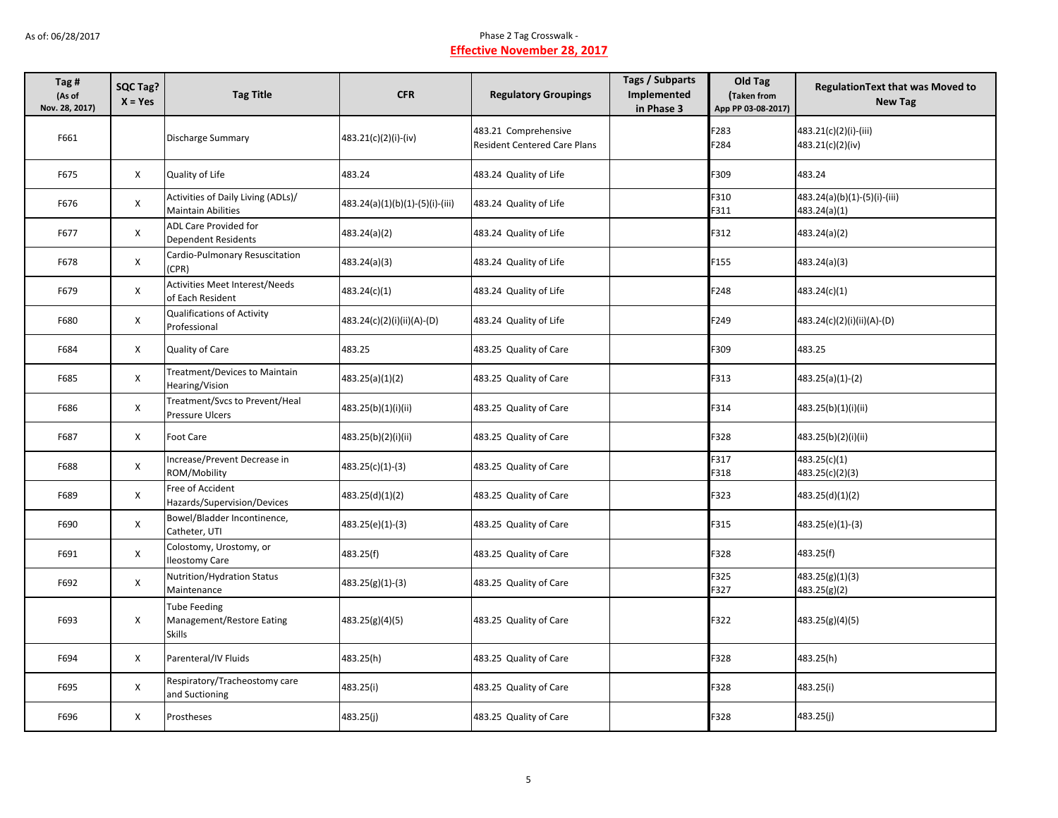| Tag #<br>(As of<br>Nov. 28, 2017) | SQC Tag?<br>$X = Yes$ | <b>Tag Title</b>                                                  | <b>CFR</b>                      | <b>Regulatory Groupings</b>                                 | <b>Tags / Subparts</b><br><b>Implemented</b><br>in Phase 3 | Old Tag<br>(Taken from<br>App PP 03-08-2017) | <b>RegulationText that was Moved to</b><br><b>New Tag</b> |
|-----------------------------------|-----------------------|-------------------------------------------------------------------|---------------------------------|-------------------------------------------------------------|------------------------------------------------------------|----------------------------------------------|-----------------------------------------------------------|
| F661                              |                       | <b>Discharge Summary</b>                                          | 483.21(c)(2)(i)-(iv)            | 483.21 Comprehensive<br><b>Resident Centered Care Plans</b> |                                                            | F283<br>F284                                 | 483.21(c)(2)(i)-(iii)<br>483.21(c)(2)(iv)                 |
| F675                              | X                     | Quality of Life                                                   | 483.24                          | 483.24 Quality of Life                                      |                                                            | F309                                         | 483.24                                                    |
| F676                              | $\mathsf{X}$          | Activities of Daily Living (ADLs)/<br><b>Maintain Abilities</b>   | 483.24(a)(1)(b)(1)-(5)(i)-(iii) | 483.24 Quality of Life                                      |                                                            | F310<br>F311                                 | 483.24(a)(b)(1)-(5)(i)-(iii)<br>483.24(a)(1)              |
| F677                              | $\mathsf{X}$          | <b>ADL Care Provided for</b><br><b>Dependent Residents</b>        | 483.24(a)(2)                    | 483.24 Quality of Life                                      |                                                            | F312                                         | 483.24(a)(2)                                              |
| F678                              | X                     | Cardio-Pulmonary Resuscitation<br>(CPR)                           | 483.24(a)(3)                    | 483.24 Quality of Life                                      |                                                            | F155                                         | 483.24(a)(3)                                              |
| F679                              | X                     | Activities Meet Interest/Needs<br>of Each Resident                | 483.24(c)(1)                    | 483.24 Quality of Life                                      |                                                            | F248                                         | 483.24(c)(1)                                              |
| F680                              | $\mathsf{X}$          | <b>Qualifications of Activity</b><br>Professional                 | 483.24(c)(2)(i)(ii)(A)-(D)      | 483.24 Quality of Life                                      |                                                            | F249                                         | 483.24(c)(2)(i)(ii)(A)-(D)                                |
| F684                              | X                     | Quality of Care                                                   | 483.25                          | 483.25 Quality of Care                                      |                                                            | F309                                         | 483.25                                                    |
| F685                              | $\mathsf{X}$          | Treatment/Devices to Maintain<br>Hearing/Vision                   | 483.25(a)(1)(2)                 | 483.25 Quality of Care                                      |                                                            | F313                                         | 483.25(a)(1)-(2)                                          |
| F686                              | X                     | Treatment/Svcs to Prevent/Heal<br>Pressure Ulcers                 | 483.25(b)(1)(i)(ii)             | 483.25 Quality of Care                                      |                                                            | F314                                         | 483.25(b)(1)(i)(ii)                                       |
| F687                              | $\mathsf{x}$          | <b>Foot Care</b>                                                  | 483.25(b)(2)(i)(ii)             | 483.25 Quality of Care                                      |                                                            | F328                                         | 483.25(b)(2)(i)(ii)                                       |
| F688                              | $\mathsf{X}$          | Increase/Prevent Decrease in<br>ROM/Mobility                      | 483.25(c)(1)-(3)                | 483.25 Quality of Care                                      |                                                            | F317<br>F318                                 | 483.25(c)(1)<br>483.25(c)(2)(3)                           |
| F689                              | X                     | Free of Accident<br>Hazards/Supervision/Devices                   | 483.25(d)(1)(2)                 | 483.25 Quality of Care                                      |                                                            | F323                                         | 483.25(d)(1)(2)                                           |
| F690                              | $\mathsf{X}$          | Bowel/Bladder Incontinence,<br>Catheter, UTI                      | 483.25(e)(1)-(3)                | 483.25 Quality of Care                                      |                                                            | F315                                         | 483.25(e)(1)-(3)                                          |
| F691                              | X                     | Colostomy, Urostomy, or<br><b>Ileostomy Care</b>                  | 483.25(f)                       | 483.25 Quality of Care                                      |                                                            | F328                                         | 483.25(f)                                                 |
| F692                              | X                     | Nutrition/Hydration Status<br>Maintenance                         | $483.25(g)(1)-(3)$              | 483.25 Quality of Care                                      |                                                            | F325<br>F327                                 | 483.25(g)(1)(3)<br>483.25(g)(2)                           |
| F693                              | X                     | <b>Tube Feeding</b><br>Management/Restore Eating<br><b>Skills</b> | 483.25(g)(4)(5)                 | 483.25 Quality of Care                                      |                                                            | F322                                         | 483.25(g)(4)(5)                                           |
| F694                              | X                     | Parenteral/IV Fluids                                              | 483.25(h)                       | 483.25 Quality of Care                                      |                                                            | F328                                         | 483.25(h)                                                 |
| F695                              | X                     | Respiratory/Tracheostomy care<br>and Suctioning                   | 483.25(i)                       | 483.25 Quality of Care                                      |                                                            | F328                                         | 483.25(i)                                                 |
| F696                              | X                     | Prostheses                                                        | 483.25(j)                       | 483.25 Quality of Care                                      |                                                            | F328                                         | 483.25(j)                                                 |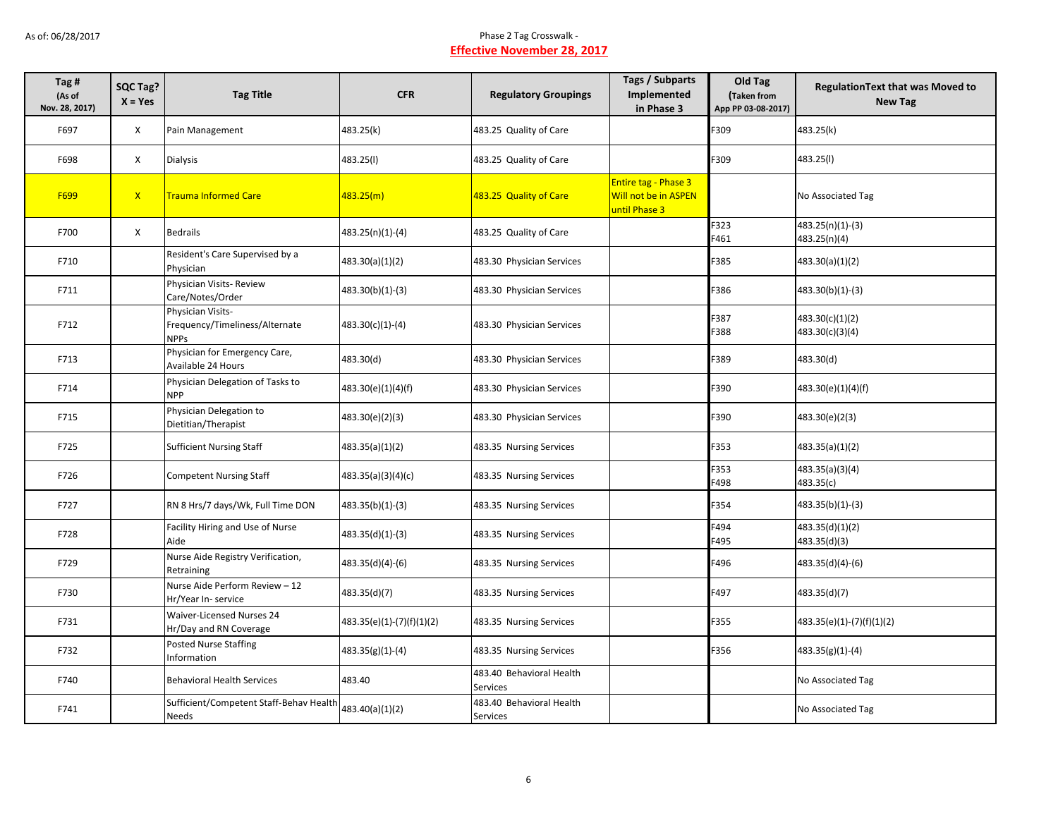| Tag #<br>(As of<br>Nov. 28, 2017) | SQC Tag?<br>$X = Yes$ | <b>Tag Title</b>                                                   | <b>CFR</b>                | <b>Regulatory Groupings</b>          | <b>Tags / Subparts</b><br>Implemented<br>in Phase 3           | Old Tag<br>Taken from<br>App PP 03-08-2017) | <b>RegulationText that was Moved to</b><br><b>New Tag</b> |
|-----------------------------------|-----------------------|--------------------------------------------------------------------|---------------------------|--------------------------------------|---------------------------------------------------------------|---------------------------------------------|-----------------------------------------------------------|
| F697                              | X                     | Pain Management                                                    | 483.25(k)                 | 483.25 Quality of Care               |                                                               | F309                                        | 483.25(k)                                                 |
| F698                              | $\mathsf{X}$          | Dialysis                                                           | 483.25(l)                 | 483.25 Quality of Care               |                                                               | F309                                        | 483.25(I)                                                 |
| F699                              | $\mathsf{X}$          | <b>Trauma Informed Care</b>                                        | 483.25(m)                 | 483.25 Quality of Care               | Entire tag - Phase 3<br>Will not be in ASPEN<br>until Phase 3 |                                             | No Associated Tag                                         |
| F700                              | $\mathsf{X}$          | <b>Bedrails</b>                                                    | 483.25(n)(1)-(4)          | 483.25 Quality of Care               |                                                               | F323<br>F461                                | 483.25(n)(1)-(3)<br>483.25(n)(4)                          |
| F710                              |                       | Resident's Care Supervised by a<br>Physician                       | 483.30(a)(1)(2)           | 483.30 Physician Services            |                                                               | F385                                        | 483.30(a)(1)(2)                                           |
| F711                              |                       | Physician Visits-Review<br>Care/Notes/Order                        | 483.30(b)(1)-(3)          | 483.30 Physician Services            |                                                               | F386                                        | 483.30(b)(1)-(3)                                          |
| F712                              |                       | Physician Visits-<br>Frequency/Timeliness/Alternate<br><b>NPPs</b> | 483.30(c)(1)-(4)          | 483.30 Physician Services            |                                                               | F387<br>F388                                | 483.30(c)(1)(2)<br>483.30(c)(3)(4)                        |
| F713                              |                       | Physician for Emergency Care,<br>Available 24 Hours                | 483.30(d)                 | 483.30 Physician Services            |                                                               | F389                                        | 483.30(d)                                                 |
| F714                              |                       | Physician Delegation of Tasks to<br><b>NPP</b>                     | 483.30(e)(1)(4)(f)        | 483.30 Physician Services            |                                                               | F390                                        | 483.30(e)(1)(4)(f)                                        |
| F715                              |                       | Physician Delegation to<br>Dietitian/Therapist                     | 483.30(e)(2)(3)           | 483.30 Physician Services            |                                                               | F390                                        | 483.30(e)(2(3)                                            |
| F725                              |                       | <b>Sufficient Nursing Staff</b>                                    | 483.35(a)(1)(2)           | 483.35 Nursing Services              |                                                               | F353                                        | 483.35(a)(1)(2)                                           |
| F726                              |                       | <b>Competent Nursing Staff</b>                                     | 483.35(a)(3)(4)(c)        | 483.35 Nursing Services              |                                                               | F353<br>F498                                | 483.35(a)(3)(4)<br>483.35(c)                              |
| F727                              |                       | RN 8 Hrs/7 days/Wk, Full Time DON                                  | 483.35(b)(1)-(3)          | 483.35 Nursing Services              |                                                               | F354                                        | 483.35(b)(1)-(3)                                          |
| F728                              |                       | Facility Hiring and Use of Nurse<br>Aide                           | 483.35(d)(1)-(3)          | 483.35 Nursing Services              |                                                               | F494<br>F495                                | 483.35(d)(1)(2)<br>483.35(d)(3)                           |
| F729                              |                       | Nurse Aide Registry Verification,<br>Retraining                    | 483.35(d)(4)-(6)          | 483.35 Nursing Services              |                                                               | F496                                        | 483.35(d)(4)-(6)                                          |
| F730                              |                       | Nurse Aide Perform Review - 12<br>Hr/Year In- service              | 483.35(d)(7)              | 483.35 Nursing Services              |                                                               | F497                                        | 483.35(d)(7)                                              |
| F731                              |                       | Waiver-Licensed Nurses 24<br>Hr/Day and RN Coverage                | 483.35(e)(1)-(7)(f)(1)(2) | 483.35 Nursing Services              |                                                               | F355                                        | 483.35(e)(1)-(7)(f)(1)(2)                                 |
| F732                              |                       | <b>Posted Nurse Staffing</b><br>Information                        | $483.35(g)(1)-(4)$        | 483.35 Nursing Services              |                                                               | F356                                        | $483.35(g)(1)-(4)$                                        |
| F740                              |                       | <b>Behavioral Health Services</b>                                  | 483.40                    | 483.40 Behavioral Health<br>Services |                                                               |                                             | No Associated Tag                                         |
| F741                              |                       | Sufficient/Competent Staff-Behav Health<br>Needs                   | 483.40(a)(1)(2)           | 483.40 Behavioral Health<br>Services |                                                               |                                             | No Associated Tag                                         |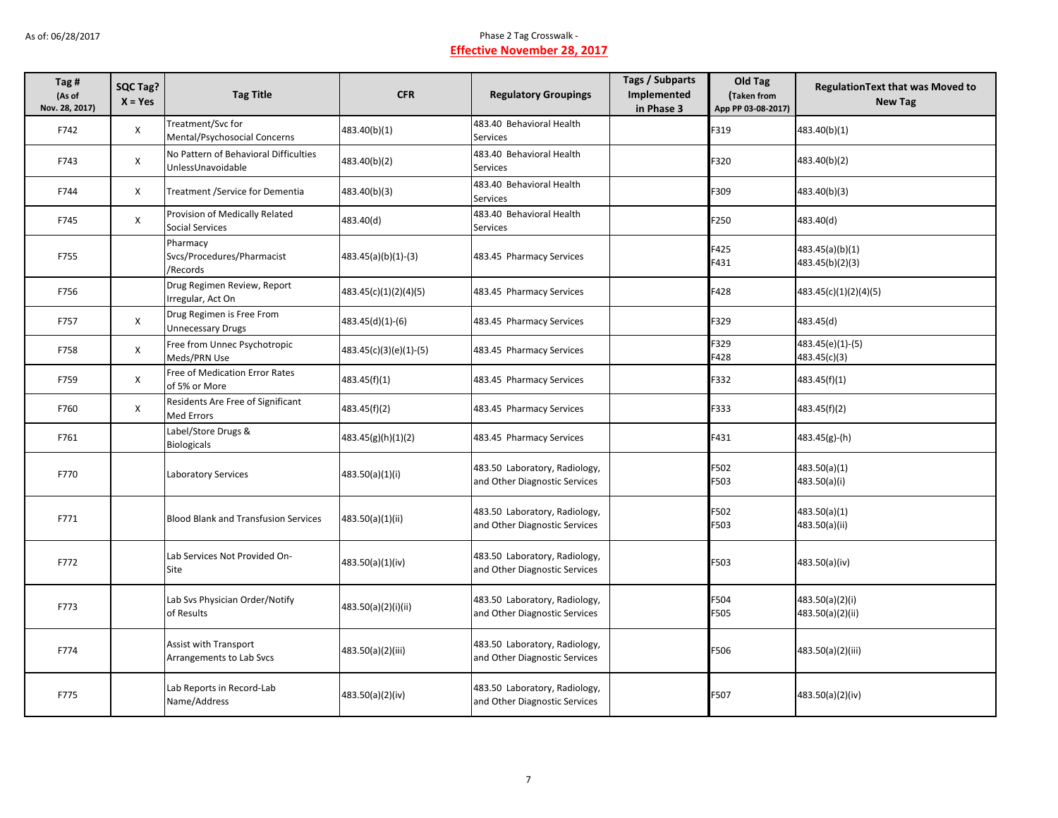| Tag#<br>(As of<br>Nov. 28, 2017) | SQC Tag?<br>$X = Yes$ | <b>Tag Title</b>                                           | <b>CFR</b>             | <b>Regulatory Groupings</b>                                    | <b>Tags / Subparts</b><br>Implemented<br>in Phase 3 | Old Tag<br>Taken from<br>App PP 03-08-2017) | <b>RegulationText that was Moved to</b><br><b>New Tag</b> |
|----------------------------------|-----------------------|------------------------------------------------------------|------------------------|----------------------------------------------------------------|-----------------------------------------------------|---------------------------------------------|-----------------------------------------------------------|
| F742                             | X                     | Treatment/Svc for<br>Mental/Psychosocial Concerns          | 483.40(b)(1)           | 483.40 Behavioral Health<br>Services                           |                                                     | F319                                        | 483.40(b)(1)                                              |
| F743                             | X                     | No Pattern of Behavioral Difficulties<br>UnlessUnavoidable | 483.40(b)(2)           | 483.40 Behavioral Health<br>Services                           |                                                     | F320                                        | 483.40(b)(2)                                              |
| F744                             | X                     | Treatment / Service for Dementia                           | 483.40(b)(3)           | 483.40 Behavioral Health<br><b>Services</b>                    |                                                     | F309                                        | 483.40(b)(3)                                              |
| F745                             | X                     | Provision of Medically Related<br>Social Services          | 483.40(d)              | 483.40 Behavioral Health<br>Services                           |                                                     | F250                                        | 483.40(d)                                                 |
| F755                             |                       | Pharmacy<br>Svcs/Procedures/Pharmacist<br>/Records         | 483.45(a)(b)(1)-(3)    | 483.45 Pharmacy Services                                       |                                                     | F425<br>F431                                | 483.45(a)(b)(1)<br>483.45(b)(2)(3)                        |
| F756                             |                       | Drug Regimen Review, Report<br>Irregular, Act On           | 483.45(c)(1)(2)(4)(5)  | 483.45 Pharmacy Services                                       |                                                     | F428                                        | 483.45(c)(1)(2)(4)(5)                                     |
| F757                             | $\mathsf{X}$          | Drug Regimen is Free From<br><b>Unnecessary Drugs</b>      | 483.45(d)(1)-(6)       | 483.45 Pharmacy Services                                       |                                                     | F329                                        | 483.45(d)                                                 |
| F758                             | $\mathsf{X}$          | Free from Unnec Psychotropic<br>Meds/PRN Use               | 483.45(c)(3)(e)(1)-(5) | 483.45 Pharmacy Services                                       |                                                     | F329<br>F428                                | 483.45(e)(1)-(5)<br>483.45(c)(3)                          |
| F759                             | X                     | Free of Medication Error Rates<br>of 5% or More            | 483.45(f)(1)           | 483.45 Pharmacy Services                                       |                                                     | F332                                        | 483.45(f)(1)                                              |
| F760                             | X                     | Residents Are Free of Significant<br>Med Errors            | 483.45(f)(2)           | 483.45 Pharmacy Services                                       |                                                     | F333                                        | 483.45(f)(2)                                              |
| F761                             |                       | Label/Store Drugs &<br><b>Biologicals</b>                  | 483.45(g)(h)(1)(2)     | 483.45 Pharmacy Services                                       |                                                     | F431                                        | 483.45(g)-(h)                                             |
| F770                             |                       | Laboratory Services                                        | 483.50(a)(1)(i)        | 483.50 Laboratory, Radiology,<br>and Other Diagnostic Services |                                                     | F502<br>F503                                | 483.50(a)(1)<br>483.50(a)(i)                              |
| F771                             |                       | <b>Blood Blank and Transfusion Services</b>                | 483.50(a)(1)(ii)       | 483.50 Laboratory, Radiology,<br>and Other Diagnostic Services |                                                     | F502<br>F503                                | 483.50(a)(1)<br>483.50(a)(ii)                             |
| F772                             |                       | Lab Services Not Provided On-<br>Site                      | 483.50(a)(1)(iv)       | 483.50 Laboratory, Radiology,<br>and Other Diagnostic Services |                                                     | F503                                        | 483.50(a)(iv)                                             |
| F773                             |                       | Lab Svs Physician Order/Notify<br>of Results               | 483.50(a)(2)(i)(ii)    | 483.50 Laboratory, Radiology,<br>and Other Diagnostic Services |                                                     | F504<br>F505                                | 483.50(a)(2)(i)<br>483.50(a)(2)(ii)                       |
| F774                             |                       | Assist with Transport<br>Arrangements to Lab Svcs          | 483.50(a)(2)(iii)      | 483.50 Laboratory, Radiology,<br>and Other Diagnostic Services |                                                     | F506                                        | 483.50(a)(2)(iii)                                         |
| F775                             |                       | Lab Reports in Record-Lab<br>Name/Address                  | 483.50(a)(2)(iv)       | 483.50 Laboratory, Radiology,<br>and Other Diagnostic Services |                                                     | F507                                        | 483.50(a)(2)(iv)                                          |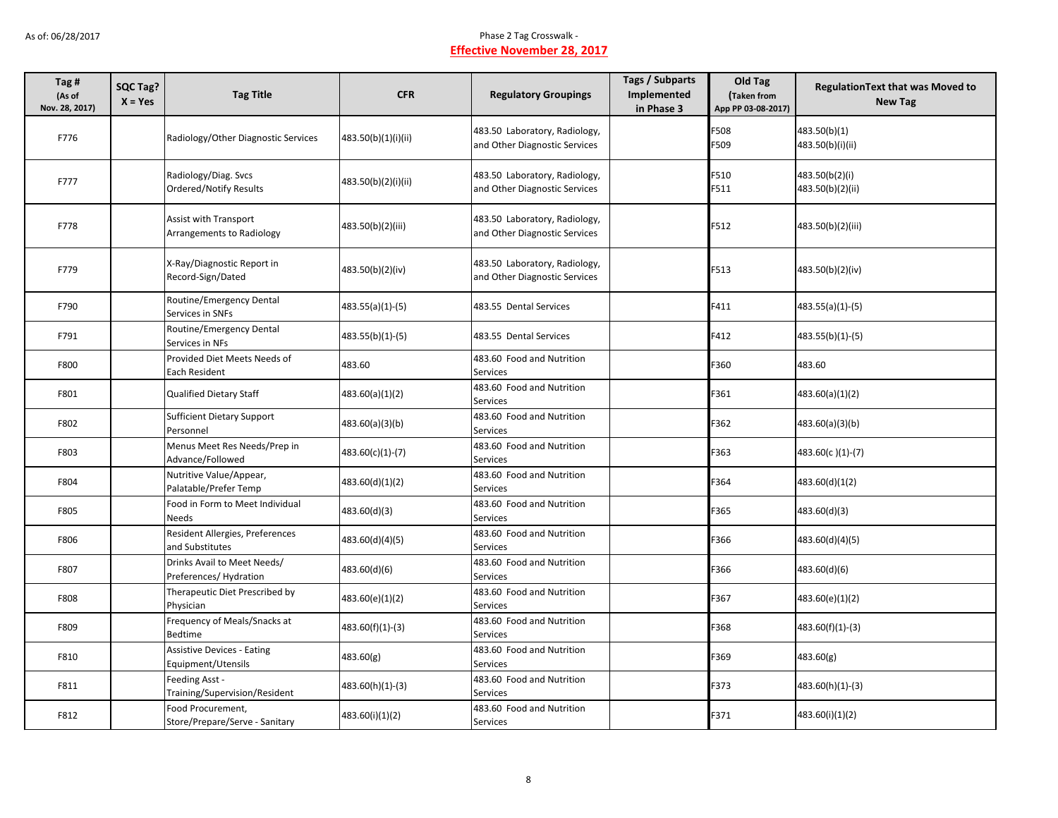| Tag #<br>(As of<br>Nov. 28, 2017) | SQC Tag?<br>$X = Yes$ | <b>Tag Title</b>                                          | <b>CFR</b>          | <b>Regulatory Groupings</b>                                    | <b>Tags / Subparts</b><br>Implemented<br>in Phase 3 | Old Tag<br>Taken from<br>App PP 03-08-2017) | <b>RegulationText that was Moved to</b><br><b>New Tag</b> |
|-----------------------------------|-----------------------|-----------------------------------------------------------|---------------------|----------------------------------------------------------------|-----------------------------------------------------|---------------------------------------------|-----------------------------------------------------------|
| F776                              |                       | Radiology/Other Diagnostic Services                       | 483.50(b)(1)(i)(ii) | 483.50 Laboratory, Radiology,<br>and Other Diagnostic Services |                                                     | F508<br>F509                                | 483.50(b)(1)<br>483.50(b)(i)(ii)                          |
| F777                              |                       | Radiology/Diag. Svcs<br>Ordered/Notify Results            | 483.50(b)(2)(i)(ii) | 483.50 Laboratory, Radiology,<br>and Other Diagnostic Services |                                                     | F510<br>F511                                | 483.50(b(2)(i)<br>483.50(b)(2)(ii)                        |
| F778                              |                       | <b>Assist with Transport</b><br>Arrangements to Radiology | 483.50(b)(2)(iii)   | 483.50 Laboratory, Radiology,<br>and Other Diagnostic Services |                                                     | F512                                        | 483.50(b)(2)(iii)                                         |
| F779                              |                       | X-Ray/Diagnostic Report in<br>Record-Sign/Dated           | 483.50(b)(2)(iv)    | 483.50 Laboratory, Radiology,<br>and Other Diagnostic Services |                                                     | F513                                        | 483.50(b)(2)(iv)                                          |
| F790                              |                       | Routine/Emergency Dental<br>Services in SNFs              | $483.55(a)(1)-(5)$  | 483.55 Dental Services                                         |                                                     | F411                                        | 483.55(a)(1)-(5)                                          |
| F791                              |                       | Routine/Emergency Dental<br>Services in NFs               | 483.55(b)(1)-(5)    | 483.55 Dental Services                                         |                                                     | F412                                        | 483.55(b)(1)-(5)                                          |
| F800                              |                       | Provided Diet Meets Needs of<br>Each Resident             | 483.60              | 483.60 Food and Nutrition<br>Services                          |                                                     | F360                                        | 483.60                                                    |
| F801                              |                       | <b>Qualified Dietary Staff</b>                            | 483.60(a)(1)(2)     | 483.60 Food and Nutrition<br>Services                          |                                                     | F361                                        | 483.60(a)(1)(2)                                           |
| F802                              |                       | <b>Sufficient Dietary Support</b><br>Personnel            | 483.60(a)(3)(b)     | 483.60 Food and Nutrition<br>Services                          |                                                     | F362                                        | 483.60(a)(3)(b)                                           |
| F803                              |                       | Menus Meet Res Needs/Prep in<br>Advance/Followed          | 483.60(c)(1)-(7)    | 483.60 Food and Nutrition<br>Services                          |                                                     | F363                                        | 483.60(c)(1)-(7)                                          |
| F804                              |                       | Nutritive Value/Appear,<br>Palatable/Prefer Temp          | 483.60(d)(1)(2)     | 483.60 Food and Nutrition<br>Services                          |                                                     | F364                                        | 483.60(d)(1(2)                                            |
| F805                              |                       | Food in Form to Meet Individual<br><b>Needs</b>           | 483.60(d)(3)        | 483.60 Food and Nutrition<br><b>Services</b>                   |                                                     | F365                                        | 483.60(d)(3)                                              |
| F806                              |                       | Resident Allergies, Preferences<br>and Substitutes        | 483.60(d)(4)(5)     | 483.60 Food and Nutrition<br>Services                          |                                                     | F366                                        | 483.60(d)(4)(5)                                           |
| F807                              |                       | Drinks Avail to Meet Needs/<br>Preferences/Hydration      | 483.60(d)(6)        | 483.60 Food and Nutrition<br>Services                          |                                                     | F366                                        | 483.60(d)(6)                                              |
| F808                              |                       | Therapeutic Diet Prescribed by<br>Physician               | 483.60(e)(1)(2)     | 483.60 Food and Nutrition<br>Services                          |                                                     | F367                                        | 483.60(e)(1)(2)                                           |
| F809                              |                       | Frequency of Meals/Snacks at<br>Bedtime                   | 483.60(f)(1)-(3)    | 483.60 Food and Nutrition<br>Services                          |                                                     | F368                                        | 483.60(f)(1)-(3)                                          |
| F810                              |                       | <b>Assistive Devices - Eating</b><br>Equipment/Utensils   | 483.60(g)           | 483.60 Food and Nutrition<br>Services                          |                                                     | F369                                        | 483.60(g)                                                 |
| F811                              |                       | Feeding Asst -<br>Training/Supervision/Resident           | 483.60(h)(1)-(3)    | 483.60 Food and Nutrition<br>Services                          |                                                     | F373                                        | 483.60(h)(1)-(3)                                          |
| F812                              |                       | Food Procurement,<br>Store/Prepare/Serve - Sanitary       | 483.60(i)(1)(2)     | 483.60 Food and Nutrition<br>Services                          |                                                     | F371                                        | 483.60(i)(1)(2)                                           |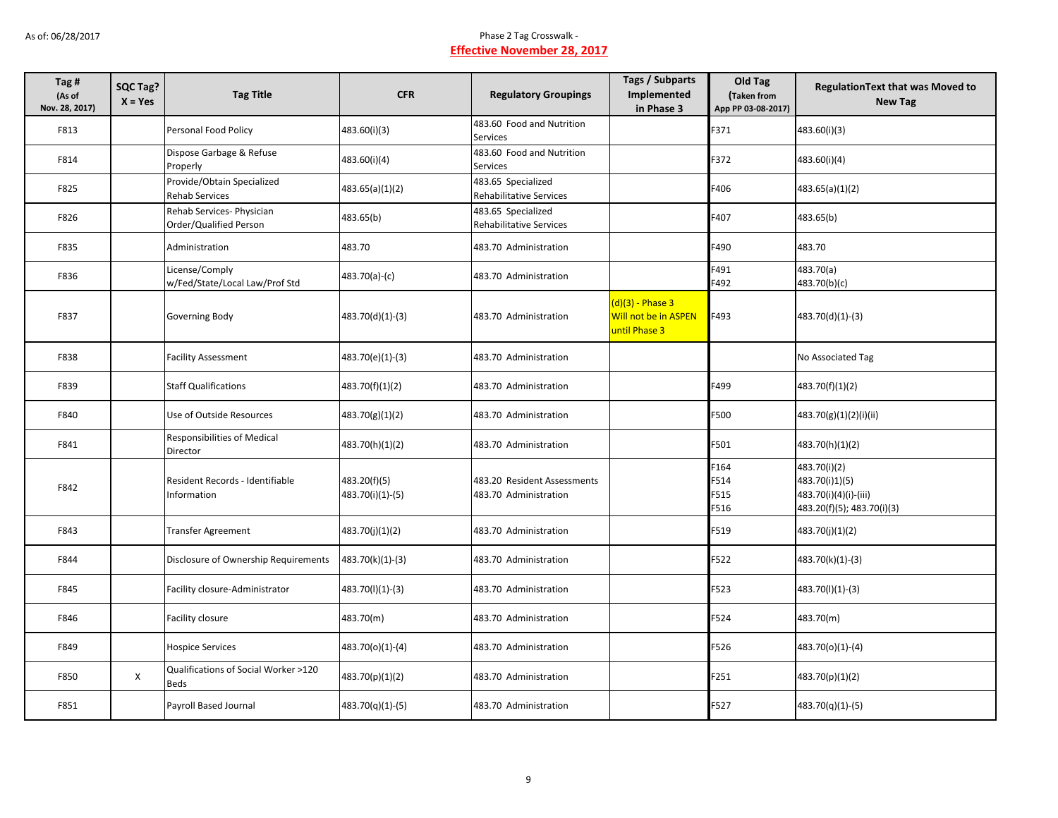| Tag#<br>(As of<br>Nov. 28, 2017) | SQC Tag?<br>$X = Yes$ | <b>Tag Title</b>                                      | <b>CFR</b>                       | <b>Regulatory Groupings</b>                          | Tags / Subparts<br>Implemented<br>in Phase 3                | Old Tag<br>Taken from<br>App PP 03-08-2017) | <b>RegulationText that was Moved to</b><br><b>New Tag</b>                             |
|----------------------------------|-----------------------|-------------------------------------------------------|----------------------------------|------------------------------------------------------|-------------------------------------------------------------|---------------------------------------------|---------------------------------------------------------------------------------------|
| F813                             |                       | Personal Food Policy                                  | 483.60(i)(3)                     | 483.60 Food and Nutrition<br>Services                |                                                             | F371                                        | 483.60(i)(3)                                                                          |
| F814                             |                       | Dispose Garbage & Refuse<br>Properly                  | 483.60(i)(4)                     | 483.60 Food and Nutrition<br>Services                |                                                             | F372                                        | 483.60(i)(4)                                                                          |
| F825                             |                       | Provide/Obtain Specialized<br><b>Rehab Services</b>   | 483.65(a)(1)(2)                  | 483.65 Specialized<br><b>Rehabilitative Services</b> |                                                             | F406                                        | 483.65(a)(1)(2)                                                                       |
| F826                             |                       | Rehab Services- Physician<br>Order/Qualified Person   | 483.65(b)                        | 483.65 Specialized<br>Rehabilitative Services        |                                                             | F407                                        | 483.65(b)                                                                             |
| F835                             |                       | Administration                                        | 483.70                           | 483.70 Administration                                |                                                             | F490                                        | 483.70                                                                                |
| F836                             |                       | License/Comply<br>w/Fed/State/Local Law/Prof Std      | 483.70(a)-(c)                    | 483.70 Administration                                |                                                             | F491<br>F492                                | 483.70(a)<br>483.70(b)(c)                                                             |
| F837                             |                       | Governing Body                                        | 483.70(d)(1)-(3)                 | 483.70 Administration                                | $(d)(3)$ - Phase 3<br>Will not be in ASPEN<br>until Phase 3 | F493                                        | 483.70(d)(1)-(3)                                                                      |
| F838                             |                       | <b>Facility Assessment</b>                            | 483.70(e)(1)-(3)                 | 483.70 Administration                                |                                                             |                                             | No Associated Tag                                                                     |
| F839                             |                       | <b>Staff Qualifications</b>                           | 483.70(f)(1)(2)                  | 483.70 Administration                                |                                                             | F499                                        | 483.70(f)(1)(2)                                                                       |
| F840                             |                       | Use of Outside Resources                              | 483.70(g)(1)(2)                  | 483.70 Administration                                |                                                             | F500                                        | 483.70(g)(1)(2)(i)(ii)                                                                |
| F841                             |                       | Responsibilities of Medical<br>Director               | 483.70(h)(1)(2)                  | 483.70 Administration                                |                                                             | F501                                        | 483.70(h)(1)(2)                                                                       |
| F842                             |                       | Resident Records - Identifiable<br><b>Information</b> | 483.20(f)(5)<br>483.70(i)(1)-(5) | 483.20 Resident Assessments<br>483.70 Administration |                                                             | F164<br>F514<br>F515<br>F516                | 483.70(i)(2)<br>483.70(i)1)(5)<br>483.70(i)(4)(i)-(iii)<br>483.20(f)(5); 483.70(i)(3) |
| F843                             |                       | <b>Transfer Agreement</b>                             | 483.70(j)(1)(2)                  | 483.70 Administration                                |                                                             | F519                                        | 483.70(j)(1)(2)                                                                       |
| F844                             |                       | Disclosure of Ownership Requirements                  | 483.70(k)(1)-(3)                 | 483.70 Administration                                |                                                             | F522                                        | 483.70(k)(1)-(3)                                                                      |
| F845                             |                       | Facility closure-Administrator                        | 483.70(l)(1)-(3)                 | 483.70 Administration                                |                                                             | F523                                        | 483.70(l)(1)-(3)                                                                      |
| F846                             |                       | Facility closure                                      | 483.70(m)                        | 483.70 Administration                                |                                                             | F524                                        | 483.70(m)                                                                             |
| F849                             |                       | <b>Hospice Services</b>                               | 483.70(o)(1)-(4)                 | 483.70 Administration                                |                                                             | F526                                        | 483.70(o)(1)-(4)                                                                      |
| F850                             | $\mathsf{X}$          | Qualifications of Social Worker >120<br>Beds          | 483.70(p)(1)(2)                  | 483.70 Administration                                |                                                             | F251                                        | 483.70(p)(1)(2)                                                                       |
| F851                             |                       | Payroll Based Journal                                 | 483.70(q)(1)-(5)                 | 483.70 Administration                                |                                                             | F527                                        | 483.70(q)(1)-(5)                                                                      |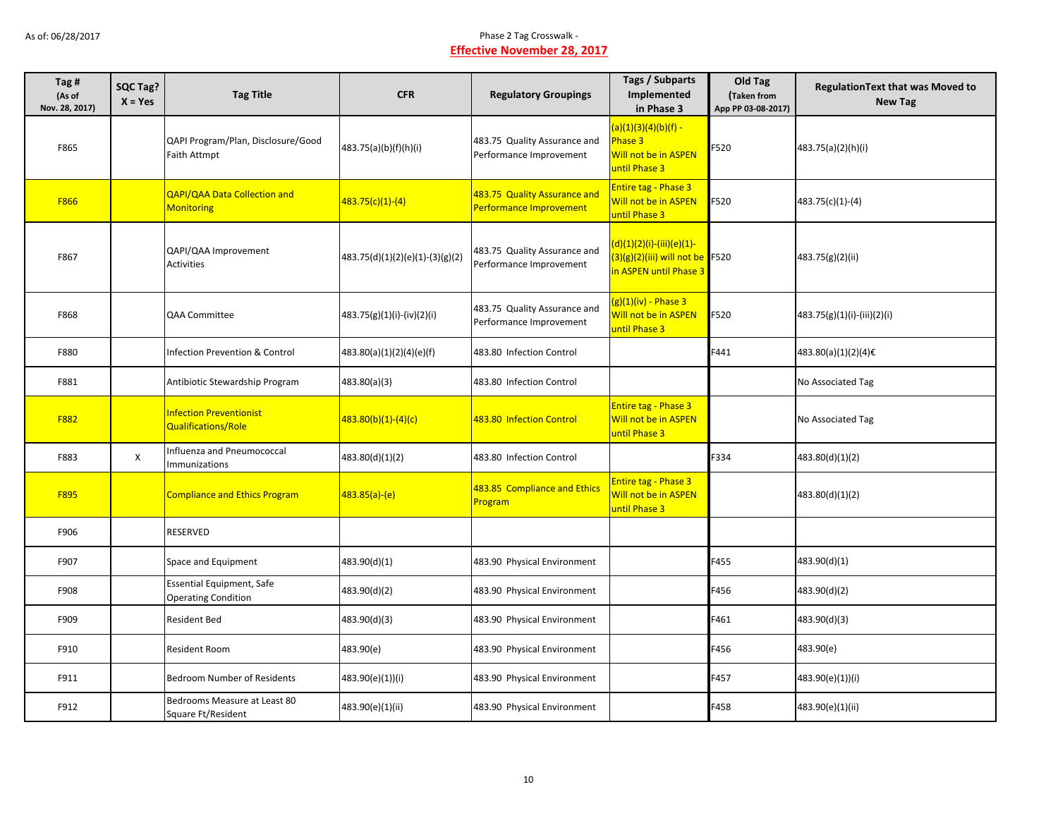| Tag #<br>(As of<br>Nov. 28, 2017) | <b>SQC Tag?</b><br>$X = Yes$ | <b>Tag Title</b>                                               | <b>CFR</b>                        | <b>Regulatory Groupings</b>                             | <b>Tags / Subparts</b><br>Implemented<br>in Phase 3                                      | Old Tag<br>Taken from<br>App PP 03-08-2017) | Regulation Text that was Moved to<br><b>New Tag</b> |
|-----------------------------------|------------------------------|----------------------------------------------------------------|-----------------------------------|---------------------------------------------------------|------------------------------------------------------------------------------------------|---------------------------------------------|-----------------------------------------------------|
| F865                              |                              | QAPI Program/Plan, Disclosure/Good<br><b>Faith Attmpt</b>      | 483.75(a)(b)(f)(h)(i)             | 483.75 Quality Assurance and<br>Performance Improvement | $(a)(1)(3)(4)(b)(f) -$<br>Phase 3<br>Will not be in ASPEN<br>until Phase 3               | F520                                        | 483.75(a)(2)(h)(i)                                  |
| F866                              |                              | <b>QAPI/QAA Data Collection and</b><br><b>Monitoring</b>       | 483.75(c)(1)-(4)                  | 483.75 Quality Assurance and<br>Performance Improvement | Entire tag - Phase 3<br>Will not be in ASPEN<br>until Phase 3                            | F520                                        | 483.75(c)(1)-(4)                                    |
| F867                              |                              | QAPI/QAA Improvement<br>Activities                             | $483.75(d)(1)(2)(e)(1)-(3)(g)(2)$ | 483.75 Quality Assurance and<br>Performance Improvement | (d)(1)(2)(i)-(iii)(e)(1)-<br>$(3)(g)(2)(iii)$ will not be F520<br>in ASPEN until Phase 3 |                                             | 483.75(g)(2)(ii)                                    |
| F868                              |                              | QAA Committee                                                  | 483.75(g)(1)(i)-(iv)(2)(i)        | 483.75 Quality Assurance and<br>Performance Improvement | (g)(1)(iv) - Phase 3<br>Will not be in ASPEN<br>until Phase 3                            | F520                                        | 483.75(g)(1)(i)-(iii)(2)(i)                         |
| F880                              |                              | Infection Prevention & Control                                 | 483.80(a)(1)(2)(4)(e)(f)          | 483.80 Infection Control                                |                                                                                          | F441                                        | 483.80(a)(1)(2)(4)€                                 |
| F881                              |                              | Antibiotic Stewardship Program                                 | 483.80(a)(3)                      | 483.80 Infection Control                                |                                                                                          |                                             | No Associated Tag                                   |
| F882                              |                              | <b>Infection Preventionist</b><br>Qualifications/Role          | 483.80(b)(1)-(4)(c)               | 483.80 Infection Control                                | <b>Entire tag - Phase 3</b><br>Will not be in ASPEN<br>until Phase 3                     |                                             | No Associated Tag                                   |
| F883                              | X                            | Influenza and Pneumococcal<br>Immunizations                    | 483.80(d)(1)(2)                   | 483.80 Infection Control                                |                                                                                          | F334                                        | 483.80(d)(1)(2)                                     |
| F895                              |                              | <b>Compliance and Ethics Program</b>                           | 483.85(a)-(e)                     | 483.85 Compliance and Ethics<br>Program                 | Entire tag - Phase 3<br>Will not be in ASPEN<br>until Phase 3                            |                                             | 483.80(d)(1)(2)                                     |
| F906                              |                              | <b>RESERVED</b>                                                |                                   |                                                         |                                                                                          |                                             |                                                     |
| F907                              |                              | Space and Equipment                                            | 483.90(d)(1)                      | 483.90 Physical Environment                             |                                                                                          | F455                                        | 483.90(d)(1)                                        |
| F908                              |                              | <b>Essential Equipment, Safe</b><br><b>Operating Condition</b> | 483.90(d)(2)                      | 483.90 Physical Environment                             |                                                                                          | F456                                        | 483.90(d)(2)                                        |
| F909                              |                              | <b>Resident Bed</b>                                            | 483.90(d)(3)                      | 483.90 Physical Environment                             |                                                                                          | F461                                        | 483.90(d)(3)                                        |
| F910                              |                              | Resident Room                                                  | 483.90(e)                         | 483.90 Physical Environment                             |                                                                                          | F456                                        | 483.90(e)                                           |
| F911                              |                              | <b>Bedroom Number of Residents</b>                             | 483.90(e)(1))(i)                  | 483.90 Physical Environment                             |                                                                                          | F457                                        | 483.90(e)(1))(i)                                    |
| F912                              |                              | Bedrooms Measure at Least 80<br>Square Ft/Resident             | 483.90(e)(1)(ii)                  | 483.90 Physical Environment                             |                                                                                          | F458                                        | 483.90(e)(1)(ii)                                    |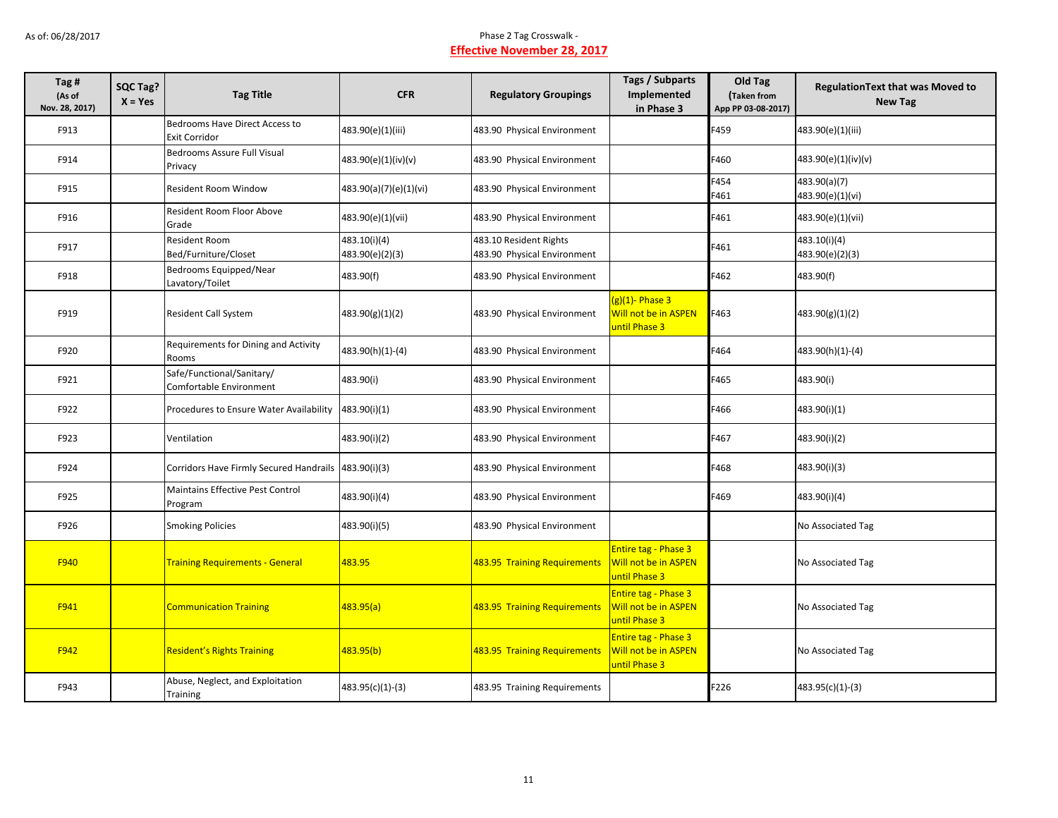| Tag #<br>(As of<br>Nov. 28, 2017) | SQC Tag?<br>$X = Yes$ | <b>Tag Title</b>                                       | <b>CFR</b>                      | <b>Regulatory Groupings</b>                           | Tags / Subparts<br>Implemented<br>in Phase 3                         | Old Tag<br>Taken from<br>App PP 03-08-2017) | <b>RegulationText that was Moved to</b><br><b>New Tag</b> |
|-----------------------------------|-----------------------|--------------------------------------------------------|---------------------------------|-------------------------------------------------------|----------------------------------------------------------------------|---------------------------------------------|-----------------------------------------------------------|
| F913                              |                       | Bedrooms Have Direct Access to<br><b>Exit Corridor</b> | 483.90(e)(1)(iii)               | 483.90 Physical Environment                           |                                                                      | F459                                        | 483.90(e)(1)(iii)                                         |
| F914                              |                       | Bedrooms Assure Full Visual<br>Privacy                 | 483.90(e)(1)(iv)(v)             | 483.90 Physical Environment                           |                                                                      | F460                                        | 483.90(e)(1)(iv)(v)                                       |
| F915                              |                       | Resident Room Window                                   | 483.90(a)(7)(e)(1)(vi)          | 483.90 Physical Environment                           |                                                                      | F454<br>F461                                | 483.90(a)(7)<br>483.90(e)(1)(vi)                          |
| F916                              |                       | Resident Room Floor Above<br>Grade                     | 483.90(e)(1)(vii)               | 483.90 Physical Environment                           |                                                                      | F461                                        | 483.90(e)(1)(vii)                                         |
| F917                              |                       | <b>Resident Room</b><br>Bed/Furniture/Closet           | 483.10(i)(4)<br>483.90(e)(2)(3) | 483.10 Resident Rights<br>483.90 Physical Environment |                                                                      | F461                                        | 483.10(i)(4)<br>483.90(e)(2)(3)                           |
| F918                              |                       | Bedrooms Equipped/Near<br>Lavatory/Toilet              | 483.90(f)                       | 483.90 Physical Environment                           |                                                                      | F462                                        | 483.90(f)                                                 |
| F919                              |                       | <b>Resident Call System</b>                            | 483.90(g)(1)(2)                 | 483.90 Physical Environment                           | (g)(1)- Phase 3<br>Will not be in ASPEN<br>until Phase 3             | F463                                        | 483.90(g)(1)(2)                                           |
| F920                              |                       | Requirements for Dining and Activity<br>Rooms          | 483.90(h)(1)-(4)                | 483.90 Physical Environment                           |                                                                      | F464                                        | 483.90(h)(1)-(4)                                          |
| F921                              |                       | Safe/Functional/Sanitary/<br>Comfortable Environment   | 483.90(i)                       | 483.90 Physical Environment                           |                                                                      | F465                                        | 483.90(i)                                                 |
| F922                              |                       | Procedures to Ensure Water Availability                | 483.90(i)(1)                    | 483.90 Physical Environment                           |                                                                      | F466                                        | 483.90(i)(1)                                              |
| F923                              |                       | Ventilation                                            | 483.90(i)(2)                    | 483.90 Physical Environment                           |                                                                      | F467                                        | 483.90(i)(2)                                              |
| F924                              |                       | Corridors Have Firmly Secured Handrails 483.90(i)(3)   |                                 | 483.90 Physical Environment                           |                                                                      | F468                                        | 483.90(i)(3)                                              |
| F925                              |                       | <b>Maintains Effective Pest Control</b><br>Program     | 483.90(i)(4)                    | 483.90 Physical Environment                           |                                                                      | F469                                        | 483.90(i)(4)                                              |
| F926                              |                       | <b>Smoking Policies</b>                                | 483.90(i)(5)                    | 483.90 Physical Environment                           |                                                                      |                                             | No Associated Tag                                         |
| F940                              |                       | <b>Training Requirements - General</b>                 | 483.95                          | 483.95 Training Requirements                          | <b>Entire tag - Phase 3</b><br>Will not be in ASPEN<br>until Phase 3 |                                             | No Associated Tag                                         |
| F941                              |                       | <b>Communication Training</b>                          | 483.95(a)                       | 483.95 Training Requirements                          | Entire tag - Phase 3<br>Will not be in ASPEN<br>until Phase 3        |                                             | No Associated Tag                                         |
| F942                              |                       | <b>Resident's Rights Training</b>                      | 483.95(b)                       | 483.95 Training Requirements                          | Entire tag - Phase 3<br>Will not be in ASPEN<br>until Phase 3        |                                             | No Associated Tag                                         |
| F943                              |                       | Abuse, Neglect, and Exploitation<br>Training           | 483.95(c)(1)-(3)                | 483.95 Training Requirements                          |                                                                      | F226                                        | 483.95(c)(1)-(3)                                          |